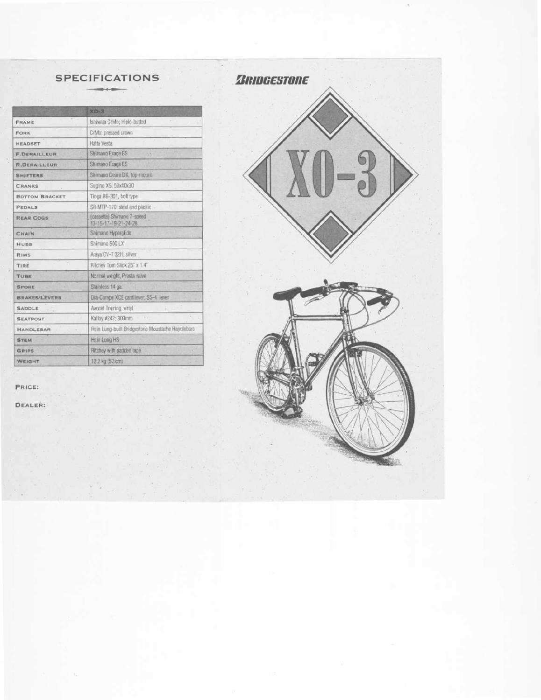# SPECIFICATIONS

|                       | $XO-3$                                             |
|-----------------------|----------------------------------------------------|
| FRAME                 | Ishiwata CrMo; triple-butted                       |
| FORK                  | CrMo: pressed crown                                |
| <b>HEADSET</b>        | Hatta Vesta                                        |
| <b>F.DERAILLEUR</b>   | Shimano Exage ES                                   |
| <b>R.DERAILLEUR</b>   | Shimano Exage ES                                   |
| <b>SHIFTERS</b>       | Shimano Deore DX, top-mount                        |
| <b>CRANKS</b>         | Sugino XS; 50x40x30                                |
| <b>BOTTOM BRACKET</b> | Tinga BB-301, bolt type                            |
| <b>PEDALS</b>         | SR MTP-170, steel and plastic -                    |
| <b>REAR COGS</b>      | (cassette) Shimano 7-speed<br>13-15-17-19-21-24-28 |
| CHAIN                 | Shimano Hyperglide                                 |
| HUBS                  | Shimano 500 LX                                     |
| <b>RIMS</b>           | Araya CV-7 32H, silver                             |
| TIRE                  | Ritchey Tom Slick 26" x 1.4"                       |
| TUBE                  | Normal weight, Presta valve                        |
| <b>SPOKE</b>          | Stainless 14 ga.                                   |
| <b>BRAKES/LEVERS</b>  | Dia-Compe XCE cantilever; SS-4 lever               |
| <b>SADDLE</b>         | Avocet Touring, vinyl.                             |
| <b>SEATPOST</b>       | Kalloy #242; 300mm                                 |
| <b>HANDLEBAR</b>      | Rsin Lung-built Bridgestone Moustache Handlebars   |
| <b>STEM</b>           | <b>Hsin Lung HS</b>                                |
| <b>GRIPS</b>          | Ritchey with padded tape                           |
| WEIGHT                | 12.2 kg (52 cm)                                    |

PRICE:

DEALER:

*BRIDGESTONE*